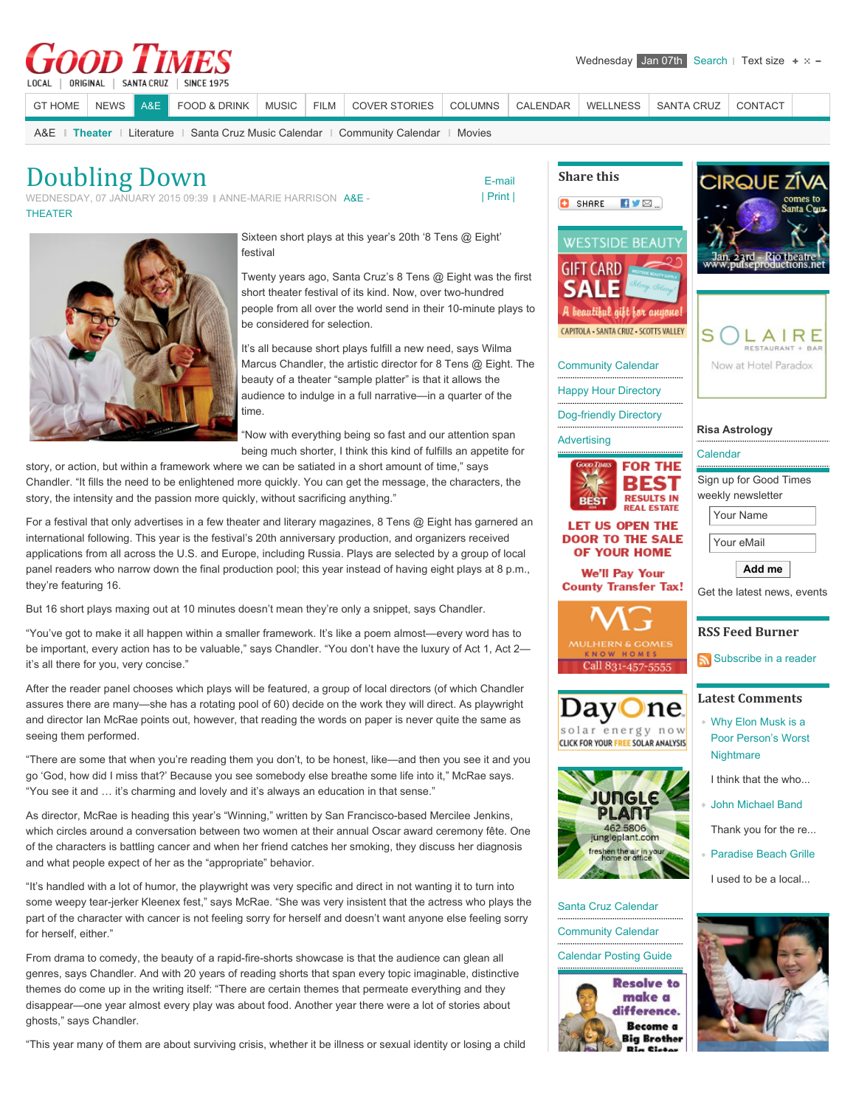## | ORIGINAL | SANTA CRUZ **SINCE 1925** LOCAL

[GT HOME](http://www.gtweekly.com/) [NEWS](http://www.gtweekly.com/index.php/santa-cruz-news.html) [A&E](http://www.gtweekly.com/index.php/santa-cruz-arts-entertainment-lifestyles.html) [FOOD & DRINK](http://www.gtweekly.com/index.php/dining-wine.html) [MUSIC](http://www.gtweekly.com/index.php/santa-cruz-area-music.html) [FILM](http://www.gtweekly.com/index.php/movies-times-reviews.html) [COVER STORIES](http://www.gtweekly.com/index.php/good-times-cover-stories.html) [COLUMNS](http://www.gtweekly.com/index.php/santa-cruz-columns-commentary-oped.html) CALENDA

[A&E](http://www.gtweekly.com/index.php/santa-cruz-arts-entertainment-lifestyles/santa-cruz-arts-entertainment-.html) **| [Theater](http://www.gtweekly.com/index.php/santa-cruz-arts-entertainment-lifestyles/live-events-music-theater-santa-cruz.html)** | [Literature](http://www.gtweekly.com/index.php/santa-cruz-arts-entertainment-lifestyles/literature-poetry-book-reviews.html) | [Santa Cruz Music Calendar](http://www.gtweekly.com/index.php/santa-cruz-arts-entertainment-lifestyles/recommended-music-events.html) | [Community Calendar](http://www.gtweekly.com/index.php/santa-cruz-arts-entertainment-lifestyles/events-calendar-activities-santa-cruz.html) | [Movies](http://www.gtweekly.com/index.php/santa-cruz-arts-entertainment-lifestyles/movies.html)

## Doubling Down

WEDNESDAY, 07 JANUARY 2015 09:39 | ANNE-MARIE HARRISON [A&E -](http://www.gtweekly.com/index.php/santa-cruz-arts-entertainment-lifestyles.html) [THEATER](http://www.gtweekly.com/index.php/santa-cruz-arts-entertainment-lifestyles/live-events-music-theater-santa-cruz.html)

[| Print |](http://www.gtweekly.com/index.php/santa-cruz-arts-entertainment-lifestyles/live-events-music-theater-santa-cruz/6202-doubling-down.html?tmpl=component&print=1&layout=default&page=)

 [E-mail](http://www.gtweekly.com/index.php/component/mailto/?tmpl=component&link=577dd107275772ce0a2da0e19543d6239c52ff4f)

**!"#\$%&'"()**

 $\mathsf C$  $\mathsf{H}$  $\Gamma$ 

 $\mathbf s$  $\mathsf C$  $\mathsf C$ 

 $\overline{a}$ 



Sixteen short plays at this year's 20th '8 Tens @ Eight' festival

Twenty years ago, Santa Cruz's 8 Tens @ Eight was the first short theater festival of its kind. Now, over two-hundred people from all over the world send in their 10-minute plays to be considered for selection.

It's all because short plays fulfill a new need, says Wilma Marcus Chandler, the artistic director for 8 Tens @ Eight. The beauty of a theater "sample platter" is that it allows the audience to indulge in a full narrative—in a quarter of the time.

"Now with everything being so fast and our attention span being much shorter, I think this kind of fulfills an appetite for

story, or action, but within a framework where we can be satiated in a short amount of time," says Chandler. "It fills the need to be enlightened more quickly. You can get the message, the characters, the story, the intensity and the passion more quickly, without sacrificing anything."

For a festival that only advertises in a few theater and literary magazines, 8 Tens @ Eight has garnered an international following. This year is the festival's 20th anniversary production, and organizers received applications from all across the U.S. and Europe, including Russia. Plays are selected by a group of local panel readers who narrow down the final production pool; this year instead of having eight plays at 8 p.m., they're featuring 16.

But 16 short plays maxing out at 10 minutes doesn't mean they're only a snippet, says Chandler.

"You've got to make it all happen within a smaller framework. It's like a poem almost—every word has to be important, every action has to be valuable," says Chandler. "You don't have the luxury of Act 1, Act 2 it's all there for you, very concise."

After the reader panel chooses which plays will be featured, a group of local directors (of which Chandler assures there are many—she has a rotating pool of 60) decide on the work they will direct. As playwright and director Ian McRae points out, however, that reading the words on paper is never quite the same as seeing them performed.

"There are some that when you're reading them you don't, to be honest, like—and then you see it and you go 'God, how did I miss that?' Because you see somebody else breathe some life into it," McRae says. "You see it and … it's charming and lovely and it's always an education in that sense."

As director, McRae is heading this year's "Winning," written by San Francisco-based Mercilee Jenkins, which circles around a conversation between two women at their annual Oscar award ceremony fête. One of the characters is battling cancer and when her friend catches her smoking, they discuss her diagnosis and what people expect of her as the "appropriate" behavior.

"It's handled with a lot of humor, the playwright was very specific and direct in not wanting it to turn into some weepy tear-jerker Kleenex fest," says McRae. "She was very insistent that the actress who plays the part of the character with cancer is not feeling sorry for herself and doesn't want anyone else feeling sorry for herself, either."

From drama to comedy, the beauty of a rapid-fire-shorts showcase is that the audience can glean all genres, says Chandler. And with 20 years of reading shorts that span every topic imaginable, distinctive themes do come up in the writing itself: "There are certain themes that permeate everything and they disappear—one year almost every play was about food. Another year there were a lot of stories about ghosts," says Chandler.

"This year many of them are about surviving crisis, whether it be illness or sexual identity or losing a child